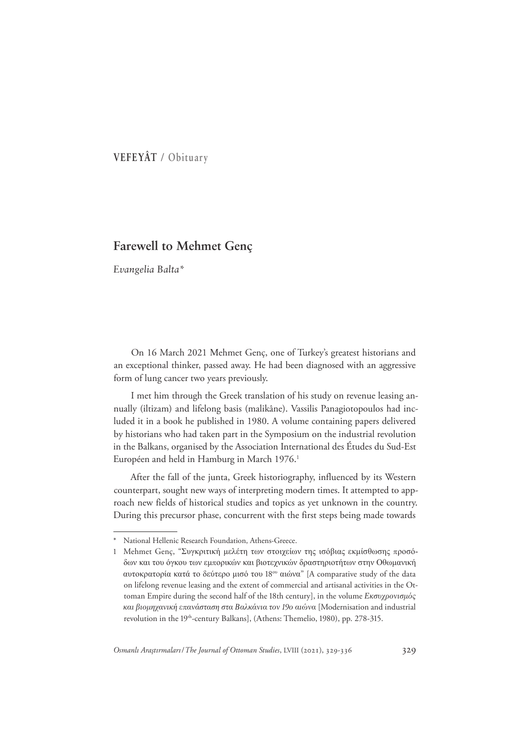VEFEYÂT / Obituary

# **Farewell to Mehmet Genç**

Evangelia Balta\*

On 16 March 2021 Mehmet Genç, one of Turkey's greatest historians and an exceptional thinker, passed away. He had been diagnosed with an aggressive form of lung cancer two years previously.

I met him through the Greek translation of his study on revenue leasing annually (iltizam) and lifelong basis (malikâne). Vassilis Panagiotopoulos had included it in a book he published in 1980. A volume containing papers delivered by historians who had taken part in the Symposium on the industrial revolution in the Balkans, organised by the Association International des Études du Sud-Est Européen and held in Hamburg in March 1976.<sup>1</sup>

After the fall of the junta, Greek historiography, influenced by its Western counterpart, sought new ways of interpreting modern times. It attempted to approach new fields of historical studies and topics as yet unknown in the country. During this precursor phase, concurrent with the first steps being made towards

National Hellenic Research Foundation, Athens-Greece.

<sup>1</sup> Mehmet Genc, "Συγκριτική μελέτη των στοιγείων της ισόβιας εκμίσθωσης προσόδων και του όγκου των εμπορικών και βιοτεχνικών δραστηριοτήτων στην Οθωμανική αυτοκρατορία κατά το δεύτερο μισό του 18<sup>°</sup> αιώνα" [A comparative study of the data on lifelong revenue leasing and the extent of commercial and artisanal activities in the Ottoman Empire during the second half of the 18th century], in the volume Εκσυχρονισμός και βιομηχανική επανάσταση στα Βαλκάνια τον 19ο αιώνα [Modernisation and industrial revolution in the 19<sup>th</sup>-century Balkans], (Athens: Themelio, 1980), pp. 278-315.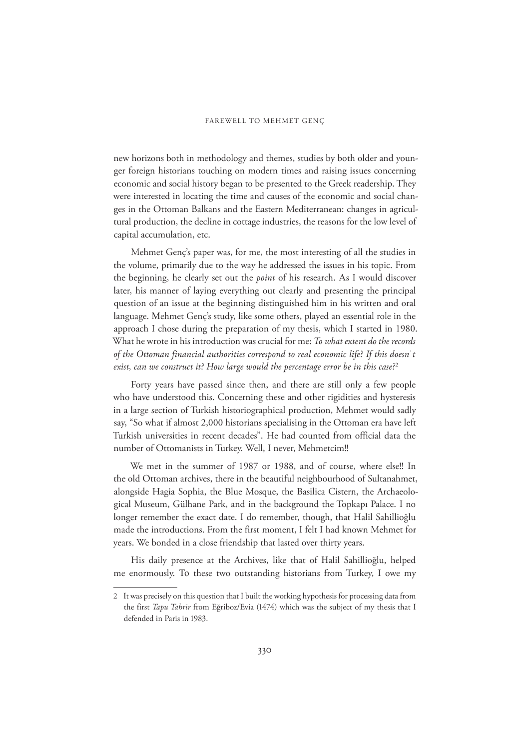new horizons both in methodology and themes, studies by both older and younger foreign historians touching on modern times and raising issues concerning economic and social history began to be presented to the Greek readership. They were interested in locating the time and causes of the economic and social changes in the Ottoman Balkans and the Eastern Mediterranean: changes in agricultural production, the decline in cottage industries, the reasons for the low level of capital accumulation, etc.

Mehmet Genç's paper was, for me, the most interesting of all the studies in the volume, primarily due to the way he addressed the issues in his topic. From the beginning, he clearly set out the *point* of his research. ǹs I would discover later, his manner of laying everything out clearly and presenting the principal question of an issue at the beginning distinguished him in his written and oral language. Mehmet Genç's study, like some others, played an essential role in the approach I chose during the preparation of my thesis, which I started in 1980. What he wrote in his introduction was crucial for me: *To what extent do the records*  of the Ottoman financial authorities correspond to real economic life? If this doesn't *exist, can we construct it? How large would the percentage error be in this case?*<sup>2</sup>

Forty years have passed since then, and there are still only a few people who have understood this. Concerning these and other rigidities and hysteresis in a large section of Turkish historiographical production, Mehmet would sadly say, "So what if almost 2,000 historians specialising in the Ottoman era have left Turkish universities in recent decades". He had counted from official data the number of Ottomanists in Turkey. Well, I never, Mehmetcim!!

We met in the summer of 1987 or 1988, and of course, where else!! In the old Ottoman archives, there in the beautiful neighbourhood of Sultanahmet, alongside Hagia Sophia, the Blue Mosque, the Basilica Cistern, the Archaeological Museum, Gülhane Park, and in the background the Topkapı Palace. I no longer remember the exact date. I do remember, though, that Halil Sahillioğlu made the introductions. From the first moment, I felt I had known Mehmet for years. We bonded in a close friendship that lasted over thirty years.

His daily presence at the Archives, like that of Halil Sahillioğlu, helped me enormously. To these two outstanding historians from Turkey, I owe my

<sup>2</sup> It was precisely on this question that I built the working hypothesis for processing data from the first *Tapu Tahrir* from Eğriboz/Evia (1474) which was the subject of my thesis that I defended in Paris in 1983.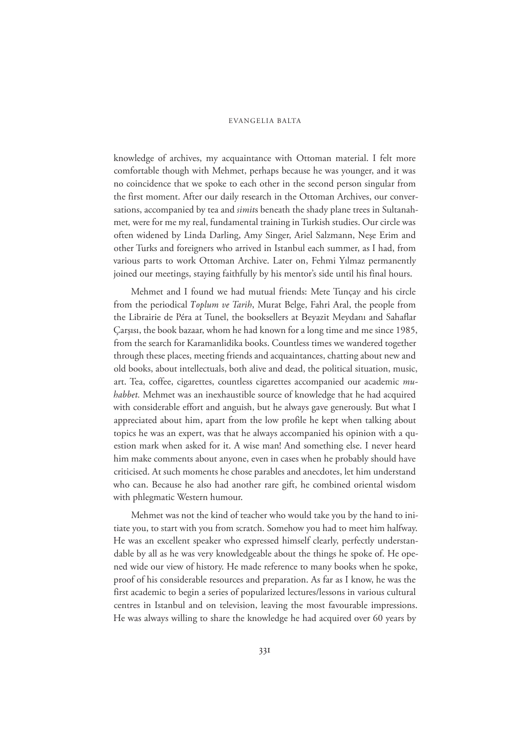## EVANGELIA BALTA

knowledge of archives, my acquaintance with Ottoman material. I felt more comfortable though with Mehmet, perhaps because he was younger, and it was no coincidence that we spoke to each other in the second person singular from the first moment. After our daily research in the Ottoman Archives, our conversations, accompanied by tea and *simit*s beneath the shady plane trees in Sultanahmet*,* were for me my real, fundamental training in Turkish studies. Our circle was often widened by Linda Darling, Amy Singer, Ariel Salzmann, Nese Erim and other Turks and foreigners who arrived in Istanbul each summer, as I had, from various parts to work Ottoman Archive. Later on, Fehmi Ylmaz permanently joined our meetings, staying faithfully by his mentor's side until his final hours.

Mehmet and I found we had mutual friends: Mete Tunçay and his circle from the periodical *Toplum ve Tarih*, Murat Belge, Fahri Aral, the people from the Librairie de Péra at Tunel, the booksellers at Beyazit Meydanı and Sahaflar Çarƾs, the book bazaar, whom he had known for a long time and me since 1985, from the search for Karamanlidika books. Countless times we wandered together through these places, meeting friends and acquaintances, chatting about new and old books, about intellectuals, both alive and dead, the political situation, music, art. Tea, coffee, cigarettes, countless cigarettes accompanied our academic *muhabbet.* Mehmet was an inexhaustible source of knowledge that he had acquired with considerable effort and anguish, but he always gave generously. But what I appreciated about him, apart from the low profile he kept when talking about topics he was an expert, was that he always accompanied his opinion with a question mark when asked for it. A wise man! And something else. I never heard him make comments about anyone, even in cases when he probably should have criticised. At such moments he chose parables and anecdotes, let him understand who can. Because he also had another rare gift, he combined oriental wisdom with phlegmatic Western humour.

Mehmet was not the kind of teacher who would take you by the hand to initiate you, to start with you from scratch. Somehow you had to meet him halfway. He was an excellent speaker who expressed himself clearly, perfectly understandable by all as he was very knowledgeable about the things he spoke of. He opened wide our view of history. He made reference to many books when he spoke, proof of his considerable resources and preparation. As far as I know, he was the first academic to begin a series of popularized lectures/lessons in various cultural centres in Istanbul and on television, leaving the most favourable impressions. He was always willing to share the knowledge he had acquired over 60 years by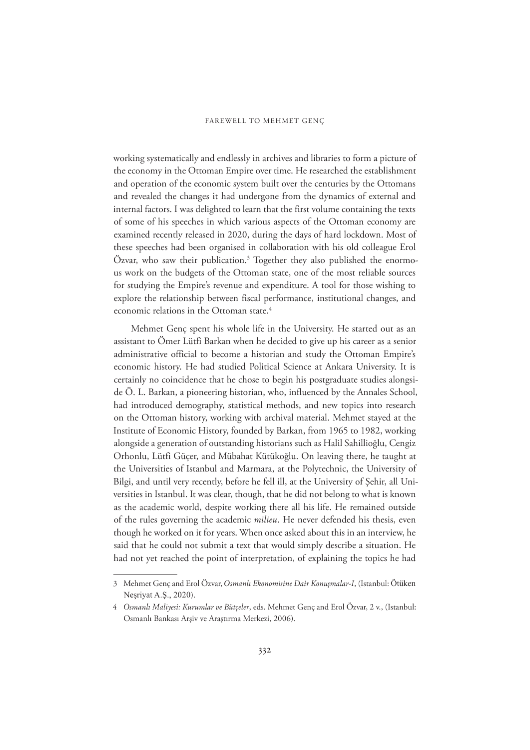working systematically and endlessly in archives and libraries to form a picture of the economy in the Ottoman Empire over time. He researched the establishment and operation of the economic system built over the centuries by the Ottomans and revealed the changes it had undergone from the dynamics of external and internal factors. I was delighted to learn that the first volume containing the texts of some of his speeches in which various aspects of the Ottoman economy are examined recently released in 2020, during the days of hard lockdown. Most of these speeches had been organised in collaboration with his old colleague Erol Özvar, who saw their publication.<sup>3</sup> Together they also published the enormous work on the budgets of the Ottoman state, one of the most reliable sources for studying the Empire's revenue and expenditure. A tool for those wishing to explore the relationship between fiscal performance, institutional changes, and economic relations in the Ottoman state.<sup>4</sup>

Mehmet Genç spent his whole life in the University. He started out as an assistant to Ömer Lütfi Barkan when he decided to give up his career as a senior administrative official to become a historian and study the Ottoman Empire's economic history. He had studied Political Science at Ankara University. It is certainly no coincidence that he chose to begin his postgraduate studies alongside Ö. L. Barkan, a pioneering historian, who, influenced by the Annales School, had introduced demography, statistical methods, and new topics into research on the Ottoman history, working with archival material. Mehmet stayed at the Institute of Economic History, founded by Barkan, from 1965 to 1982, working alongside a generation of outstanding historians such as Halil Sahillioğlu, Cengiz Orhonlu, Lütfi Güçer, and Mübahat Kütükoğlu. On leaving there, he taught at the Universities of Istanbul and Marmara, at the Polytechnic, the University of Bilgi, and until very recently, before he fell ill, at the University of Şehir, all Universities in Istanbul. It was clear, though, that he did not belong to what is known as the academic world, despite working there all his life. He remained outside of the rules governing the academic *milieu*. He never defended his thesis, even though he worked on it for years. When once asked about this in an interview, he said that he could not submit a text that would simply describe a situation. He had not yet reached the point of interpretation, of explaining the topics he had

Ǣ Mehmet Genç and Erol Özvar, *ȅsmanl Ekonomisine Dair Konuůmalar-I*, (Istanbul: Ötüken Neşriyat A.Ş., 2020).

ǣ *Osmanl MalJyes<sup>J</sup>: Kurumlar ve Bütçeler*, eds. Mehmet Genç and Erol Özvar, ǡ v., (Istanbul: Osmanlı Bankası Arşiv ve Araştırma Merkezi, 2006).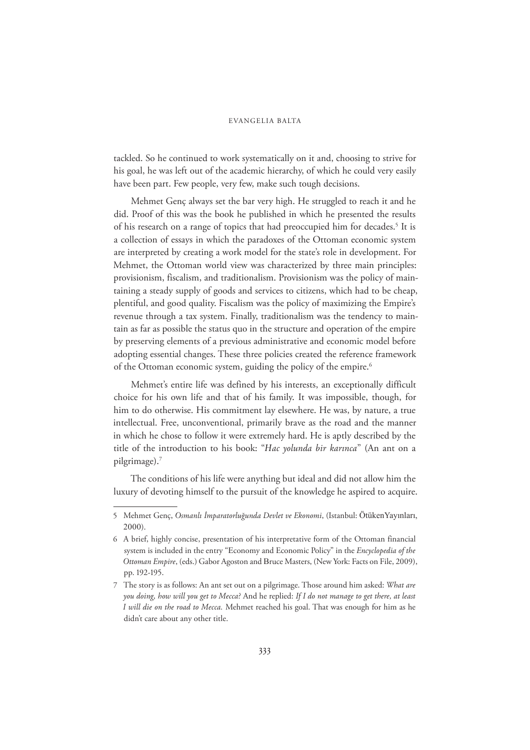## EVANGELIA BALTA

tackled. So he continued to work systematically on it and, choosing to strive for his goal, he was left out of the academic hierarchy, of which he could very easily have been part. Few people, very few, make such tough decisions.

Mehmet Genç always set the bar very high. He struggled to reach it and he did. Proof of this was the book he published in which he presented the results of his research on a range of topics that had preoccupied him for decades.<sup>5</sup> It is a collection of essays in which the paradoxes of the Ottoman economic system are interpreted by creating a work model for the state's role in development. For Mehmet, the Ottoman world view was characterized by three main principles: provisionism, fiscalism, and traditionalism. Provisionism was the policy of maintaining a steady supply of goods and services to citizens, which had to be cheap, plentiful, and good quality. Fiscalism was the policy of maximizing the Empire's revenue through a tax system. Finally, traditionalism was the tendency to maintain as far as possible the status quo in the structure and operation of the empire by preserving elements of a previous administrative and economic model before adopting essential changes. These three policies created the reference framework of the Ottoman economic system, guiding the policy of the empire.<sup>6</sup>

Mehmet's entire life was defined by his interests, an exceptionally difficult choice for his own life and that of his family. It was impossible, though, for him to do otherwise. His commitment lay elsewhere. He was, by nature, a true intellectual. Free, unconventional, primarily brave as the road and the manner in which he chose to follow it were extremely hard. He is aptly described by the title of the introduction to his book: "*Hac yolunda bir karınca*" (An ant on a pilgrimage).7

The conditions of his life were anything but ideal and did not allow him the luxury of devoting himself to the pursuit of the knowledge he aspired to acquire.

Ǥ Mehmet Genç, *Osmanl ŒmparatorluŞunda Devlet ve Ekonomi*, (Istanbul: ÖtükenYayınları,  $2000$ ).

ǥ A brief, highly concise, presentation of his interpretative form of the Ottoman financial system is included in the entry "Economy and Economic Policy" in the *Encyclopedia of the* Ottoman Empire, (eds.) Gabor Agoston and Bruce Masters, (New York: Facts on File, 2009), pp. 192-195.

Ǧ The story is as follows: An ant set out on a pilgrimage. Those around him asked: *What are you doJng, how wJll you get to Mecca?* And he replied: *If I do not manage to get there, at least I will die on the road to Mecca*. Mehmet reached his goal. That was enough for him as he didn't care about any other title.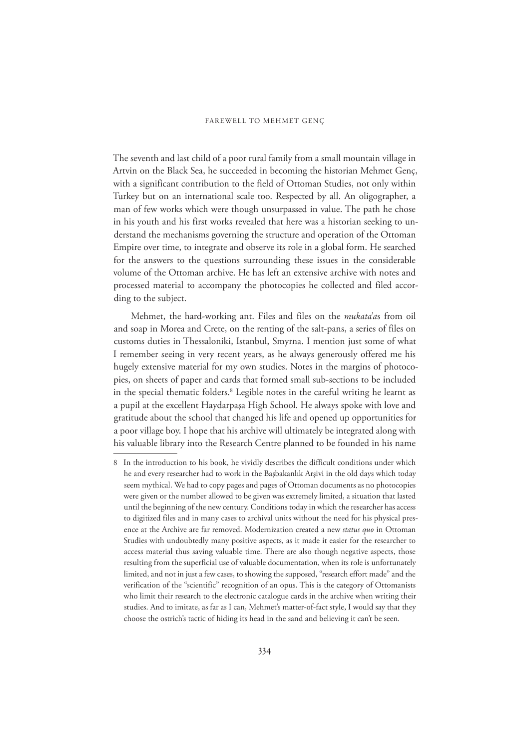The seventh and last child of a poor rural family from a small mountain village in Artvin on the Black Sea, he succeeded in becoming the historian Mehmet Genç, with a significant contribution to the field of Ottoman Studies, not only within Turkey but on an international scale too. Respected by all. An oligographer, a man of few works which were though unsurpassed in value. The path he chose in his youth and his first works revealed that here was a historian seeking to understand the mechanisms governing the structure and operation of the Ottoman Empire over time, to integrate and observe its role in a global form. He searched for the answers to the questions surrounding these issues in the considerable volume of the Ottoman archive. He has left an extensive archive with notes and processed material to accompany the photocopies he collected and filed according to the subject.

Mehmet, the hard-working ant. Files and files on the *mukata'a*s from oil and soap in Morea and Crete, on the renting of the salt-pans, a series of files on customs duties in Thessaloniki, Istanbul, Smyrna. I mention just some of what I remember seeing in very recent years, as he always generously offered me his hugely extensive material for my own studies. Notes in the margins of photocopies, on sheets of paper and cards that formed small sub-sections to be included in the special thematic folders.8 Legible notes in the careful writing he learnt as a pupil at the excellent Haydarpaşa High School. He always spoke with love and gratitude about the school that changed his life and opened up opportunities for a poor village boy. I hope that his archive will ultimately be integrated along with his valuable library into the Research Centre planned to be founded in his name

ǧ In the introduction to his book, he vividly describes the difficult conditions under which he and every researcher had to work in the Başbakanlık Arşivi in the old days which today seem mythical. We had to copy pages and pages of Ottoman documents as no photocopies were given or the number allowed to be given was extremely limited, a situation that lasted until the beginning of the new century. Conditions today in which the researcher has access to digitized files and in many cases to archival units without the need for his physical presence at the Archive are far removed. Modernization created a new *status quo* in Ottoman Studies with undoubtedly many positive aspects, as it made it easier for the researcher to access material thus saving valuable time. There are also though negative aspects, those resulting from the superficial use of valuable documentation, when its role is unfortunately limited, and not in just a few cases, to showing the supposed, "research effort made" and the verification of the "scientific" recognition of an opus. This is the category of Ottomanists who limit their research to the electronic catalogue cards in the archive when writing their studies. And to imitate, as far as I can, Mehmet's matter-of-fact style, I would say that they choose the ostrich's tactic of hiding its head in the sand and believing it can't be seen.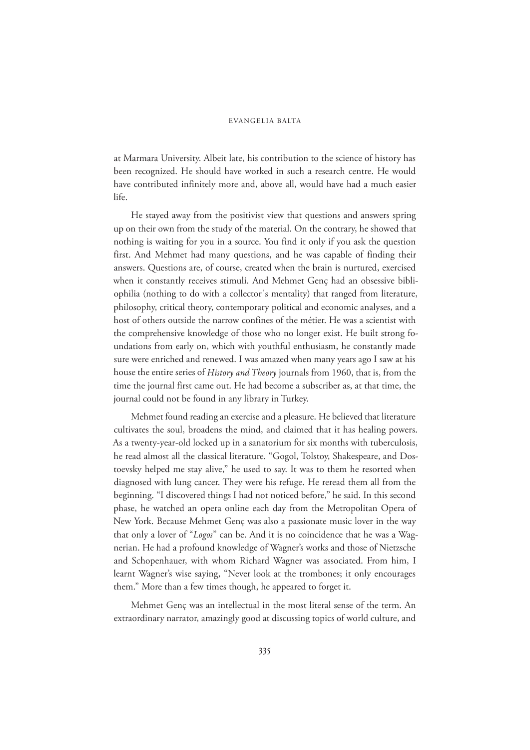## EVANGELIA BALTA

at Marmara University. Albeit late, his contribution to the science of history has been recognized. He should have worked in such a research centre. He would have contributed infinitely more and, above all, would have had a much easier life.

He stayed away from the positivist view that questions and answers spring up on their own from the study of the material. On the contrary, he showed that nothing is waiting for you in a source. You find it only if you ask the question first. And Mehmet had many questions, and he was capable of finding their answers. Questions are, of course, created when the brain is nurtured, exercised when it constantly receives stimuli. And Mehmet Genç had an obsessive bibliophilia (nothing to do with a collector's mentality) that ranged from literature, philosophy, critical theory, contemporary political and economic analyses, and a host of others outside the narrow confines of the métier. He was a scientist with the comprehensive knowledge of those who no longer exist. He built strong foundations from early on, which with youthful enthusiasm, he constantly made sure were enriched and renewed. I was amazed when many years ago I saw at his house the entire series of *History and Theory* journals from 1960, that is, from the time the journal first came out. He had become a subscriber as, at that time, the journal could not be found in any library in Turkey.

Mehmet found reading an exercise and a pleasure. He believed that literature cultivates the soul, broadens the mind, and claimed that it has healing powers. As a twenty-year-old locked up in a sanatorium for six months with tuberculosis, he read almost all the classical literature. "Gogol, Tolstoy, Shakespeare, and Dostoevsky helped me stay alive," he used to say. It was to them he resorted when diagnosed with lung cancer. They were his refuge. He reread them all from the beginning. "I discovered things I had not noticed before," he said. In this second phase, he watched an opera online each day from the Metropolitan Opera of New York. Because Mehmet Genç was also a passionate music lover in the way that only a lover of "*Logos*" can be. And it is no coincidence that he was a Wagnerian. He had a profound knowledge of Wagner's works and those of Nietzsche and Schopenhauer, with whom Richard Wagner was associated. From him, I learnt Wagner's wise saying, "Never look at the trombones; it only encourages them." More than a few times though, he appeared to forget it.

Mehmet Genç was an intellectual in the most literal sense of the term. An extraordinary narrator, amazingly good at discussing topics of world culture, and